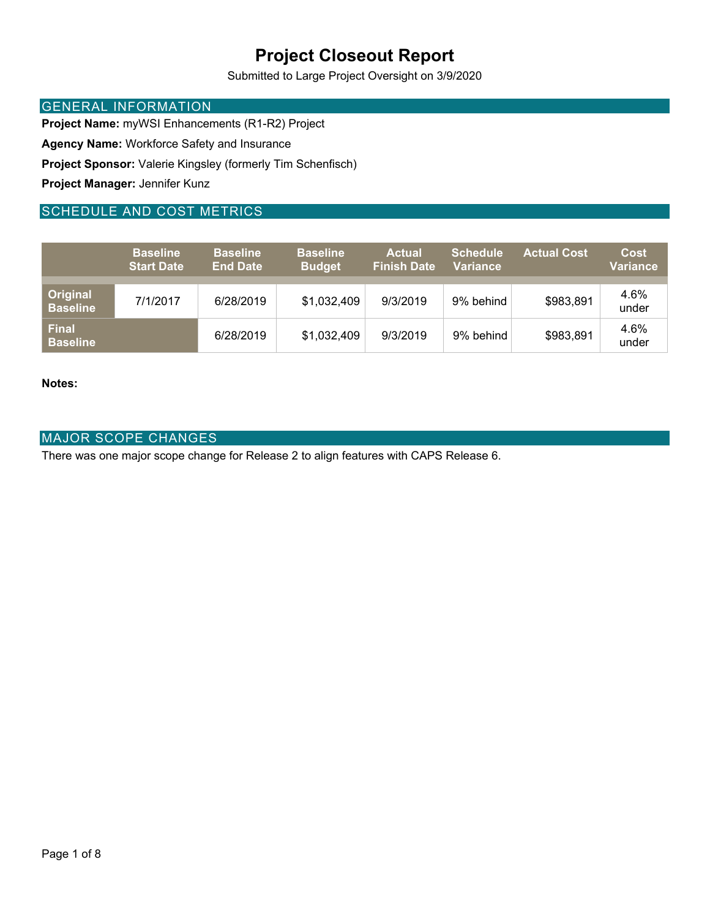Submitted to Large Project Oversight on 3/9/2020

#### GENERAL INFORMATION

**Project Name:** myWSI Enhancements (R1-R2) Project

**Agency Name:** Workforce Safety and Insurance

**Project Sponsor:** Valerie Kingsley (formerly Tim Schenfisch)

**Project Manager:** Jennifer Kunz

### SCHEDULE AND COST METRICS

|                                 | <b>Baseline</b><br><b>Start Date</b> | <b>Baseline</b><br><b>End Date</b> | <b>Baseline</b><br><b>Budget</b> | <b>Actual</b><br><b>Finish Date</b> | <b>Schedule</b><br><b>Variance</b> | <b>Actual Cost</b> | <b>Cost</b><br>Variance |
|---------------------------------|--------------------------------------|------------------------------------|----------------------------------|-------------------------------------|------------------------------------|--------------------|-------------------------|
| Original<br><b>Baseline</b>     | 7/1/2017                             | 6/28/2019                          | \$1,032,409                      | 9/3/2019                            | 9% behind                          | \$983,891          | 4.6%<br>under           |
| <b>Final</b><br><b>Baseline</b> |                                      | 6/28/2019                          | \$1,032,409                      | 9/3/2019                            | 9% behind                          | \$983,891          | 4.6%<br>under           |

#### **Notes:**

#### MAJOR SCOPE CHANGES

There was one major scope change for Release 2 to align features with CAPS Release 6.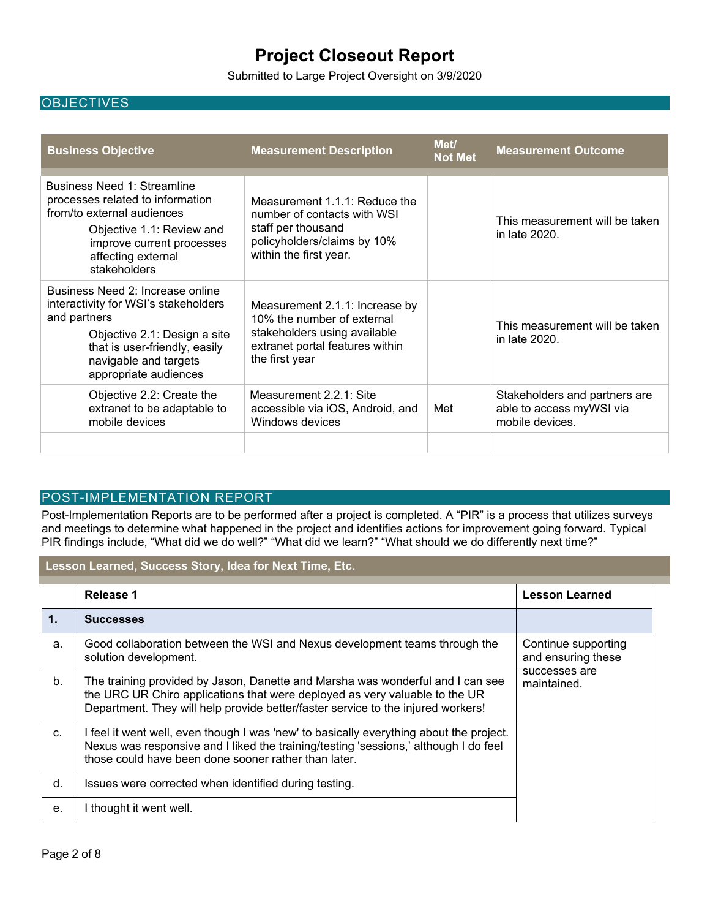Submitted to Large Project Oversight on 3/9/2020

### **OBJECTIVES**

| <b>Business Objective</b>                                                                                                                                                                                   | <b>Measurement Description</b>                                                                                                                    | Met/<br><b>Not Met</b> | <b>Measurement Outcome</b>                                                   |
|-------------------------------------------------------------------------------------------------------------------------------------------------------------------------------------------------------------|---------------------------------------------------------------------------------------------------------------------------------------------------|------------------------|------------------------------------------------------------------------------|
| Business Need 1: Streamline<br>processes related to information<br>from/to external audiences<br>Objective 1.1: Review and<br>improve current processes<br>affecting external<br>stakeholders               | Measurement 1.1.1: Reduce the<br>number of contacts with WSI<br>staff per thousand<br>policyholders/claims by 10%<br>within the first year.       |                        | This measurement will be taken<br>in late 2020.                              |
| Business Need 2: Increase online<br>interactivity for WSI's stakeholders<br>and partners<br>Objective 2.1: Design a site<br>that is user-friendly, easily<br>navigable and targets<br>appropriate audiences | Measurement 2.1.1: Increase by<br>10% the number of external<br>stakeholders using available<br>extranet portal features within<br>the first year |                        | This measurement will be taken<br>in late $2020$ .                           |
| Objective 2.2: Create the<br>extranet to be adaptable to<br>mobile devices                                                                                                                                  | Measurement 2.2.1: Site<br>accessible via iOS, Android, and<br>Windows devices                                                                    | Met                    | Stakeholders and partners are<br>able to access myWSI via<br>mobile devices. |
|                                                                                                                                                                                                             |                                                                                                                                                   |                        |                                                                              |

### POST-IMPLEMENTATION REPORT

Post-Implementation Reports are to be performed after a project is completed. A "PIR" is a process that utilizes surveys and meetings to determine what happened in the project and identifies actions for improvement going forward. Typical PIR findings include, "What did we do well?" "What did we learn?" "What should we do differently next time?"

#### **Lesson Learned, Success Story, Idea for Next Time, Etc.**

|               | Release 1                                                                                                                                                                                                                                         | <b>Lesson Learned</b>                                      |
|---------------|---------------------------------------------------------------------------------------------------------------------------------------------------------------------------------------------------------------------------------------------------|------------------------------------------------------------|
| $\mathbf 1$ . | <b>Successes</b>                                                                                                                                                                                                                                  |                                                            |
| a.            | Good collaboration between the WSI and Nexus development teams through the<br>solution development.                                                                                                                                               | Continue supporting<br>and ensuring these<br>successes are |
| $b$ .         | The training provided by Jason, Danette and Marsha was wonderful and I can see<br>the URC UR Chiro applications that were deployed as very valuable to the UR<br>Department. They will help provide better/faster service to the injured workers! | maintained.                                                |
| C.            | I feel it went well, even though I was 'new' to basically everything about the project.<br>Nexus was responsive and I liked the training/testing 'sessions,' although I do feel<br>those could have been done sooner rather than later.           |                                                            |
| d.            | Issues were corrected when identified during testing.                                                                                                                                                                                             |                                                            |
| e.            | l thought it went well.                                                                                                                                                                                                                           |                                                            |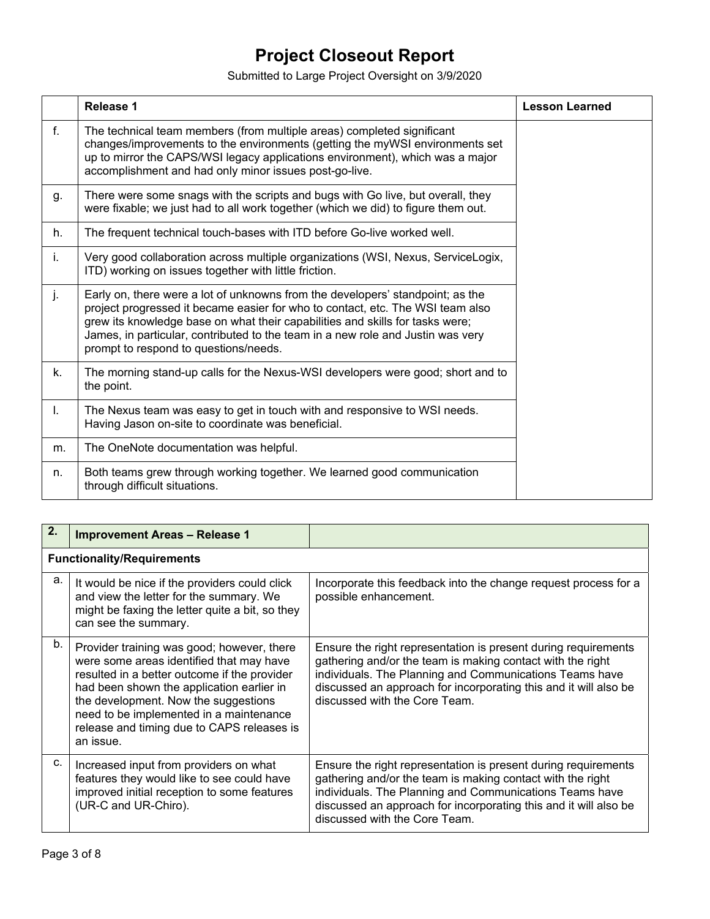|                | Release 1                                                                                                                                                                                                                                                                                                                                                                     | <b>Lesson Learned</b> |
|----------------|-------------------------------------------------------------------------------------------------------------------------------------------------------------------------------------------------------------------------------------------------------------------------------------------------------------------------------------------------------------------------------|-----------------------|
| f <sub>r</sub> | The technical team members (from multiple areas) completed significant<br>changes/improvements to the environments (getting the myWSI environments set<br>up to mirror the CAPS/WSI legacy applications environment), which was a major<br>accomplishment and had only minor issues post-go-live.                                                                             |                       |
| g.             | There were some snags with the scripts and bugs with Go live, but overall, they<br>were fixable; we just had to all work together (which we did) to figure them out.                                                                                                                                                                                                          |                       |
| h.             | The frequent technical touch-bases with ITD before Go-live worked well.                                                                                                                                                                                                                                                                                                       |                       |
| i.             | Very good collaboration across multiple organizations (WSI, Nexus, ServiceLogix,<br>ITD) working on issues together with little friction.                                                                                                                                                                                                                                     |                       |
| j.             | Early on, there were a lot of unknowns from the developers' standpoint; as the<br>project progressed it became easier for who to contact, etc. The WSI team also<br>grew its knowledge base on what their capabilities and skills for tasks were;<br>James, in particular, contributed to the team in a new role and Justin was very<br>prompt to respond to questions/needs. |                       |
| k.             | The morning stand-up calls for the Nexus-WSI developers were good; short and to<br>the point.                                                                                                                                                                                                                                                                                 |                       |
| I.             | The Nexus team was easy to get in touch with and responsive to WSI needs.<br>Having Jason on-site to coordinate was beneficial.                                                                                                                                                                                                                                               |                       |
| m.             | The OneNote documentation was helpful.                                                                                                                                                                                                                                                                                                                                        |                       |
| n.             | Both teams grew through working together. We learned good communication<br>through difficult situations.                                                                                                                                                                                                                                                                      |                       |

| 2. | <b>Improvement Areas - Release 1</b>                                                                                                                                                                                                                                                                                              |                                                                                                                                                                                                                                                                                              |
|----|-----------------------------------------------------------------------------------------------------------------------------------------------------------------------------------------------------------------------------------------------------------------------------------------------------------------------------------|----------------------------------------------------------------------------------------------------------------------------------------------------------------------------------------------------------------------------------------------------------------------------------------------|
|    | <b>Functionality/Requirements</b>                                                                                                                                                                                                                                                                                                 |                                                                                                                                                                                                                                                                                              |
| a. | It would be nice if the providers could click<br>and view the letter for the summary. We<br>might be faxing the letter quite a bit, so they<br>can see the summary.                                                                                                                                                               | Incorporate this feedback into the change request process for a<br>possible enhancement.                                                                                                                                                                                                     |
| b. | Provider training was good; however, there<br>were some areas identified that may have<br>resulted in a better outcome if the provider<br>had been shown the application earlier in<br>the development. Now the suggestions<br>need to be implemented in a maintenance<br>release and timing due to CAPS releases is<br>an issue. | Ensure the right representation is present during requirements<br>gathering and/or the team is making contact with the right<br>individuals. The Planning and Communications Teams have<br>discussed an approach for incorporating this and it will also be<br>discussed with the Core Team. |
| C. | Increased input from providers on what<br>features they would like to see could have<br>improved initial reception to some features<br>(UR-C and UR-Chiro).                                                                                                                                                                       | Ensure the right representation is present during requirements<br>gathering and/or the team is making contact with the right<br>individuals. The Planning and Communications Teams have<br>discussed an approach for incorporating this and it will also be<br>discussed with the Core Team. |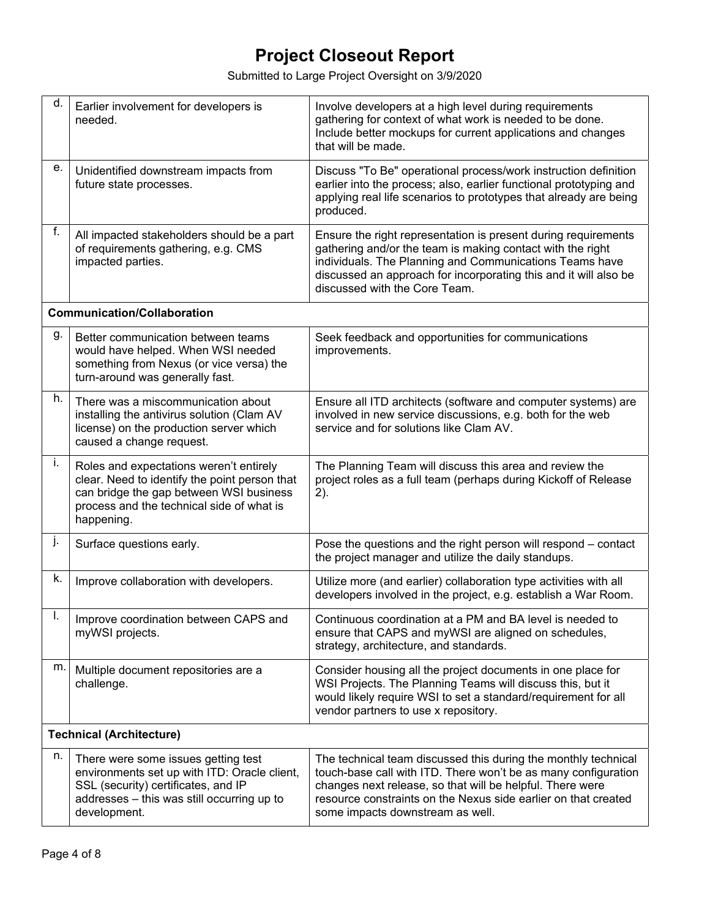| d. | Earlier involvement for developers is<br>needed.                                                                                                                                               | Involve developers at a high level during requirements<br>gathering for context of what work is needed to be done.<br>Include better mockups for current applications and changes<br>that will be made.                                                                                             |  |  |
|----|------------------------------------------------------------------------------------------------------------------------------------------------------------------------------------------------|-----------------------------------------------------------------------------------------------------------------------------------------------------------------------------------------------------------------------------------------------------------------------------------------------------|--|--|
| е. | Unidentified downstream impacts from<br>future state processes.                                                                                                                                | Discuss "To Be" operational process/work instruction definition<br>earlier into the process; also, earlier functional prototyping and<br>applying real life scenarios to prototypes that already are being<br>produced.                                                                             |  |  |
| f. | All impacted stakeholders should be a part<br>of requirements gathering, e.g. CMS<br>impacted parties.                                                                                         | Ensure the right representation is present during requirements<br>gathering and/or the team is making contact with the right<br>individuals. The Planning and Communications Teams have<br>discussed an approach for incorporating this and it will also be<br>discussed with the Core Team.        |  |  |
|    | <b>Communication/Collaboration</b>                                                                                                                                                             |                                                                                                                                                                                                                                                                                                     |  |  |
| g. | Better communication between teams<br>would have helped. When WSI needed<br>something from Nexus (or vice versa) the<br>turn-around was generally fast.                                        | Seek feedback and opportunities for communications<br>improvements.                                                                                                                                                                                                                                 |  |  |
| h. | There was a miscommunication about<br>installing the antivirus solution (Clam AV<br>license) on the production server which<br>caused a change request.                                        | Ensure all ITD architects (software and computer systems) are<br>involved in new service discussions, e.g. both for the web<br>service and for solutions like Clam AV.                                                                                                                              |  |  |
| j, | Roles and expectations weren't entirely<br>clear. Need to identify the point person that<br>can bridge the gap between WSI business<br>process and the technical side of what is<br>happening. | The Planning Team will discuss this area and review the<br>project roles as a full team (perhaps during Kickoff of Release<br>2).                                                                                                                                                                   |  |  |
| j. | Surface questions early.                                                                                                                                                                       | Pose the questions and the right person will respond – contact<br>the project manager and utilize the daily standups.                                                                                                                                                                               |  |  |
| k. | Improve collaboration with developers.                                                                                                                                                         | Utilize more (and earlier) collaboration type activities with all<br>developers involved in the project, e.g. establish a War Room.                                                                                                                                                                 |  |  |
| ı. | Improve coordination between CAPS and<br>myWSI projects.                                                                                                                                       | Continuous coordination at a PM and BA level is needed to<br>ensure that CAPS and myWSI are aligned on schedules,<br>strategy, architecture, and standards.                                                                                                                                         |  |  |
| m. | Multiple document repositories are a<br>challenge.                                                                                                                                             | Consider housing all the project documents in one place for<br>WSI Projects. The Planning Teams will discuss this, but it<br>would likely require WSI to set a standard/requirement for all<br>vendor partners to use x repository.                                                                 |  |  |
|    | <b>Technical (Architecture)</b>                                                                                                                                                                |                                                                                                                                                                                                                                                                                                     |  |  |
| n. | There were some issues getting test<br>environments set up with ITD: Oracle client,<br>SSL (security) certificates, and IP<br>addresses - this was still occurring up to<br>development.       | The technical team discussed this during the monthly technical<br>touch-base call with ITD. There won't be as many configuration<br>changes next release, so that will be helpful. There were<br>resource constraints on the Nexus side earlier on that created<br>some impacts downstream as well. |  |  |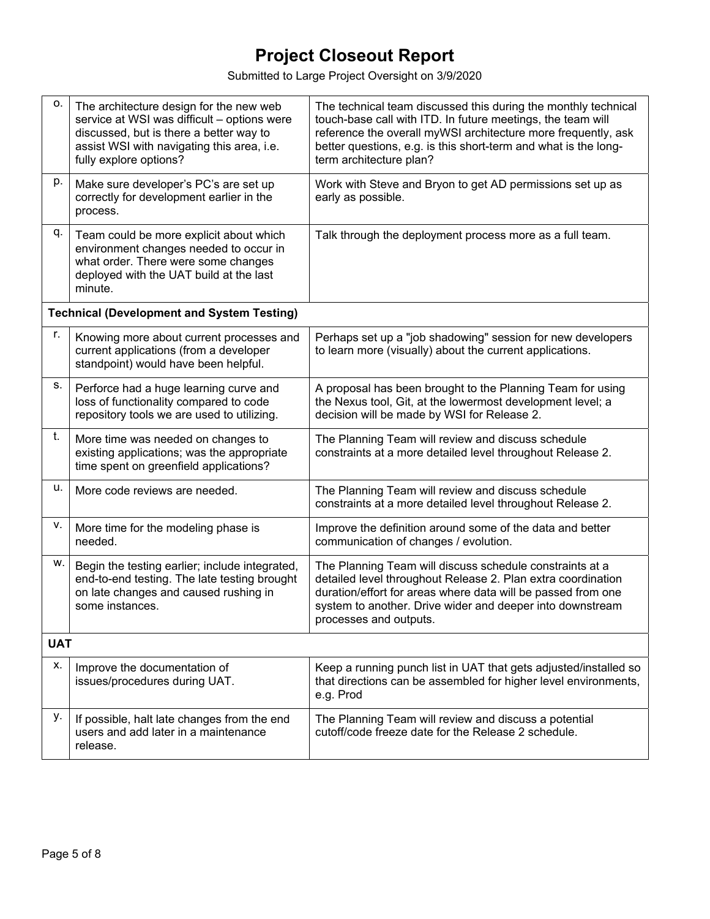| о.         | The architecture design for the new web<br>service at WSI was difficult - options were<br>discussed, but is there a better way to<br>assist WSI with navigating this area, i.e.<br>fully explore options? | The technical team discussed this during the monthly technical<br>touch-base call with ITD. In future meetings, the team will<br>reference the overall myWSI architecture more frequently, ask<br>better questions, e.g. is this short-term and what is the long-<br>term architecture plan? |  |  |
|------------|-----------------------------------------------------------------------------------------------------------------------------------------------------------------------------------------------------------|----------------------------------------------------------------------------------------------------------------------------------------------------------------------------------------------------------------------------------------------------------------------------------------------|--|--|
| p.         | Make sure developer's PC's are set up<br>correctly for development earlier in the<br>process.                                                                                                             | Work with Steve and Bryon to get AD permissions set up as<br>early as possible.                                                                                                                                                                                                              |  |  |
| q.         | Team could be more explicit about which<br>environment changes needed to occur in<br>what order. There were some changes<br>deployed with the UAT build at the last<br>minute.                            | Talk through the deployment process more as a full team.                                                                                                                                                                                                                                     |  |  |
|            | <b>Technical (Development and System Testing)</b>                                                                                                                                                         |                                                                                                                                                                                                                                                                                              |  |  |
| r.         | Knowing more about current processes and<br>current applications (from a developer<br>standpoint) would have been helpful.                                                                                | Perhaps set up a "job shadowing" session for new developers<br>to learn more (visually) about the current applications.                                                                                                                                                                      |  |  |
| s.         | Perforce had a huge learning curve and<br>loss of functionality compared to code<br>repository tools we are used to utilizing.                                                                            | A proposal has been brought to the Planning Team for using<br>the Nexus tool, Git, at the lowermost development level; a<br>decision will be made by WSI for Release 2.                                                                                                                      |  |  |
| t.         | More time was needed on changes to<br>existing applications; was the appropriate<br>time spent on greenfield applications?                                                                                | The Planning Team will review and discuss schedule<br>constraints at a more detailed level throughout Release 2.                                                                                                                                                                             |  |  |
| u.         | More code reviews are needed.                                                                                                                                                                             | The Planning Team will review and discuss schedule<br>constraints at a more detailed level throughout Release 2.                                                                                                                                                                             |  |  |
| v.         | More time for the modeling phase is<br>needed.                                                                                                                                                            | Improve the definition around some of the data and better<br>communication of changes / evolution.                                                                                                                                                                                           |  |  |
| W.         | Begin the testing earlier; include integrated,<br>end-to-end testing. The late testing brought<br>on late changes and caused rushing in<br>some instances.                                                | The Planning Team will discuss schedule constraints at a<br>detailed level throughout Release 2. Plan extra coordination<br>duration/effort for areas where data will be passed from one<br>system to another. Drive wider and deeper into downstream<br>processes and outputs.              |  |  |
| <b>UAT</b> |                                                                                                                                                                                                           |                                                                                                                                                                                                                                                                                              |  |  |
| Х.         | Improve the documentation of<br>issues/procedures during UAT.                                                                                                                                             | Keep a running punch list in UAT that gets adjusted/installed so<br>that directions can be assembled for higher level environments,<br>e.g. Prod                                                                                                                                             |  |  |
| у.         | If possible, halt late changes from the end<br>users and add later in a maintenance<br>release.                                                                                                           | The Planning Team will review and discuss a potential<br>cutoff/code freeze date for the Release 2 schedule.                                                                                                                                                                                 |  |  |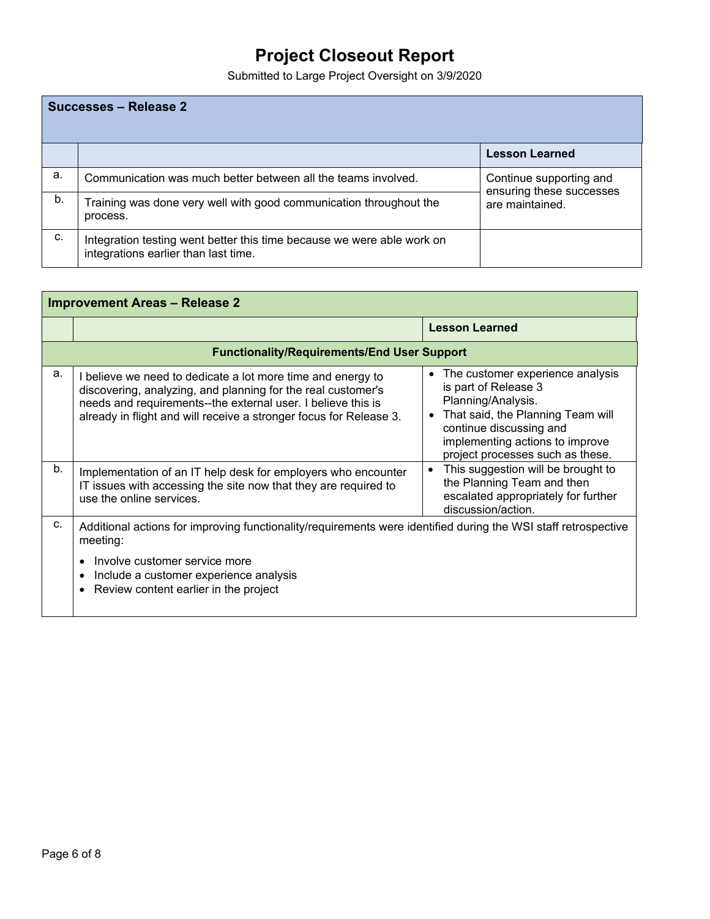| Successes - Release 2 |                                                                                                                |                                                     |  |
|-----------------------|----------------------------------------------------------------------------------------------------------------|-----------------------------------------------------|--|
|                       |                                                                                                                | <b>Lesson Learned</b>                               |  |
| a.                    | Communication was much better between all the teams involved.                                                  | Continue supporting and<br>ensuring these successes |  |
| b.                    | Training was done very well with good communication throughout the<br>process.                                 | are maintained.                                     |  |
| C.                    | Integration testing went better this time because we were able work on<br>integrations earlier than last time. |                                                     |  |

| <b>Improvement Areas - Release 2</b> |                                                                                                                                                                                                                                                                   |                                                                                                                                                                                                                         |  |  |  |
|--------------------------------------|-------------------------------------------------------------------------------------------------------------------------------------------------------------------------------------------------------------------------------------------------------------------|-------------------------------------------------------------------------------------------------------------------------------------------------------------------------------------------------------------------------|--|--|--|
|                                      |                                                                                                                                                                                                                                                                   | <b>Lesson Learned</b>                                                                                                                                                                                                   |  |  |  |
|                                      | <b>Functionality/Requirements/End User Support</b>                                                                                                                                                                                                                |                                                                                                                                                                                                                         |  |  |  |
| a.                                   | I believe we need to dedicate a lot more time and energy to<br>discovering, analyzing, and planning for the real customer's<br>needs and requirements--the external user. I believe this is<br>already in flight and will receive a stronger focus for Release 3. | • The customer experience analysis<br>is part of Release 3<br>Planning/Analysis.<br>That said, the Planning Team will<br>continue discussing and<br>implementing actions to improve<br>project processes such as these. |  |  |  |
| b.                                   | Implementation of an IT help desk for employers who encounter<br>IT issues with accessing the site now that they are required to<br>use the online services.                                                                                                      | This suggestion will be brought to<br>$\bullet$<br>the Planning Team and then<br>escalated appropriately for further<br>discussion/action.                                                                              |  |  |  |
| C.                                   | Additional actions for improving functionality/requirements were identified during the WSI staff retrospective<br>meeting:<br>Involve customer service more<br>Include a customer experience analysis<br>Review content earlier in the project                    |                                                                                                                                                                                                                         |  |  |  |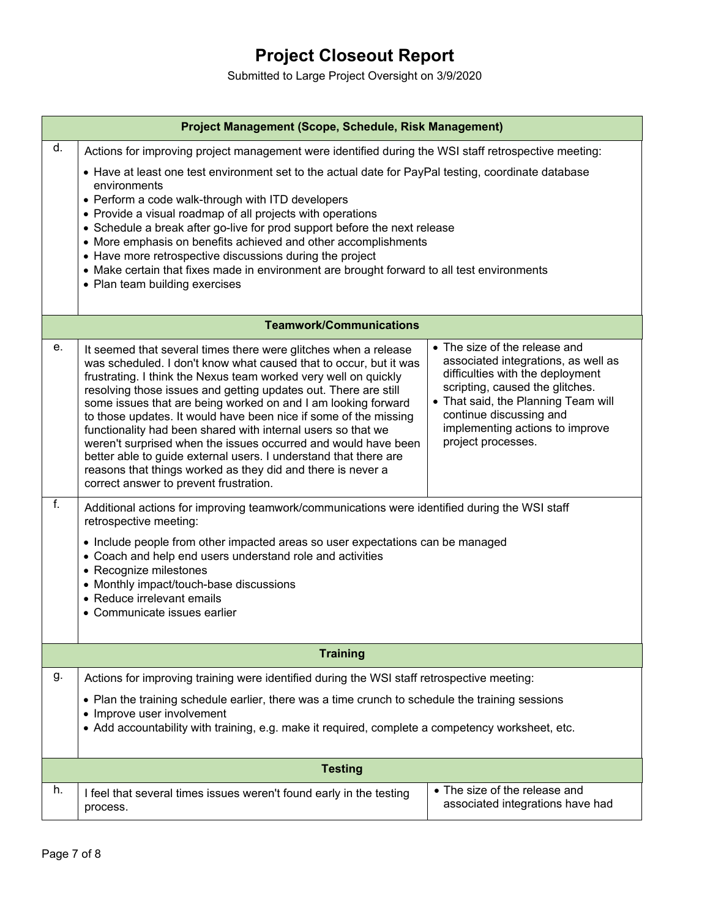|    | Project Management (Scope, Schedule, Risk Management)                                                                                                                                                                                                                                                                                                                                                                                                                                                                                                                                                                                                                                                                                                                                                                                                                                                                                                                                                    |                                                                   |  |  |  |
|----|----------------------------------------------------------------------------------------------------------------------------------------------------------------------------------------------------------------------------------------------------------------------------------------------------------------------------------------------------------------------------------------------------------------------------------------------------------------------------------------------------------------------------------------------------------------------------------------------------------------------------------------------------------------------------------------------------------------------------------------------------------------------------------------------------------------------------------------------------------------------------------------------------------------------------------------------------------------------------------------------------------|-------------------------------------------------------------------|--|--|--|
| d. | Actions for improving project management were identified during the WSI staff retrospective meeting:                                                                                                                                                                                                                                                                                                                                                                                                                                                                                                                                                                                                                                                                                                                                                                                                                                                                                                     |                                                                   |  |  |  |
|    | • Have at least one test environment set to the actual date for PayPal testing, coordinate database<br>environments<br>• Perform a code walk-through with ITD developers<br>• Provide a visual roadmap of all projects with operations<br>• Schedule a break after go-live for prod support before the next release<br>• More emphasis on benefits achieved and other accomplishments<br>• Have more retrospective discussions during the project<br>• Make certain that fixes made in environment are brought forward to all test environments<br>• Plan team building exercises                                                                                                                                                                                                                                                                                                                                                                                                                        |                                                                   |  |  |  |
|    | <b>Teamwork/Communications</b>                                                                                                                                                                                                                                                                                                                                                                                                                                                                                                                                                                                                                                                                                                                                                                                                                                                                                                                                                                           |                                                                   |  |  |  |
| е. | • The size of the release and<br>It seemed that several times there were glitches when a release<br>associated integrations, as well as<br>was scheduled. I don't know what caused that to occur, but it was<br>difficulties with the deployment<br>frustrating. I think the Nexus team worked very well on quickly<br>scripting, caused the glitches.<br>resolving those issues and getting updates out. There are still<br>• That said, the Planning Team will<br>some issues that are being worked on and I am looking forward<br>continue discussing and<br>to those updates. It would have been nice if some of the missing<br>implementing actions to improve<br>functionality had been shared with internal users so that we<br>project processes.<br>weren't surprised when the issues occurred and would have been<br>better able to guide external users. I understand that there are<br>reasons that things worked as they did and there is never a<br>correct answer to prevent frustration. |                                                                   |  |  |  |
| f. | Additional actions for improving teamwork/communications were identified during the WSI staff<br>retrospective meeting:                                                                                                                                                                                                                                                                                                                                                                                                                                                                                                                                                                                                                                                                                                                                                                                                                                                                                  |                                                                   |  |  |  |
|    | • Include people from other impacted areas so user expectations can be managed<br>• Coach and help end users understand role and activities<br>• Recognize milestones<br>• Monthly impact/touch-base discussions<br>• Reduce irrelevant emails<br>• Communicate issues earlier                                                                                                                                                                                                                                                                                                                                                                                                                                                                                                                                                                                                                                                                                                                           |                                                                   |  |  |  |
|    | <b>Training</b>                                                                                                                                                                                                                                                                                                                                                                                                                                                                                                                                                                                                                                                                                                                                                                                                                                                                                                                                                                                          |                                                                   |  |  |  |
| g. | Actions for improving training were identified during the WSI staff retrospective meeting:                                                                                                                                                                                                                                                                                                                                                                                                                                                                                                                                                                                                                                                                                                                                                                                                                                                                                                               |                                                                   |  |  |  |
|    | • Plan the training schedule earlier, there was a time crunch to schedule the training sessions<br>• Improve user involvement<br>• Add accountability with training, e.g. make it required, complete a competency worksheet, etc.                                                                                                                                                                                                                                                                                                                                                                                                                                                                                                                                                                                                                                                                                                                                                                        |                                                                   |  |  |  |
|    | <b>Testing</b>                                                                                                                                                                                                                                                                                                                                                                                                                                                                                                                                                                                                                                                                                                                                                                                                                                                                                                                                                                                           |                                                                   |  |  |  |
| h. | I feel that several times issues weren't found early in the testing<br>process.                                                                                                                                                                                                                                                                                                                                                                                                                                                                                                                                                                                                                                                                                                                                                                                                                                                                                                                          | • The size of the release and<br>associated integrations have had |  |  |  |